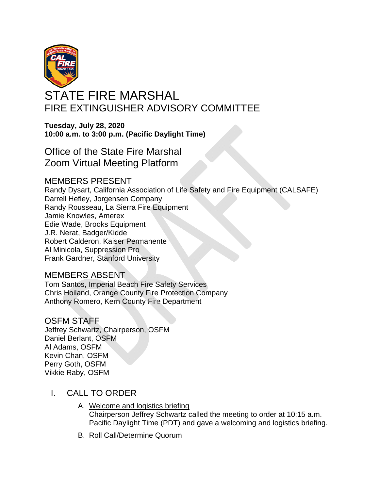

# STATE FIRE MARSHAL FIRE EXTINGUISHER ADVISORY COMMITTEE

**Tuesday, July 28, 2020 10:00 a.m. to 3:00 p.m. (Pacific Daylight Time)** 

Office of the State Fire Marshal Zoom Virtual Meeting Platform

# MEMBERS PRESENT

Randy Dysart, California Association of Life Safety and Fire Equipment (CALSAFE) Darrell Hefley, Jorgensen Company Randy Rousseau, La Sierra Fire Equipment Jamie Knowles, Amerex Edie Wade, Brooks Equipment J.R. Nerat, Badger/Kidde Robert Calderon, Kaiser Permanente Al Minicola, Suppression Pro Frank Gardner, Stanford University

# MEMBERS ABSENT

Anthony Romero, Kern County Fire Department Tom Santos, Imperial Beach Fire Safety Services Chris Hoiland, Orange County Fire Protection Company

#### OSFM STAFF Jeffrey Schwartz, Chairperson, OSFM Daniel Berlant, OSFM

Al Adams, OSFM Kevin Chan, OSFM Perry Goth, OSFM Vikkie Raby, OSFM

- I. CALL TO ORDER
	- A. Welcome and logistics briefing Chairperson Jeffrey Schwartz called the meeting to order at 10:15 a.m. Pacific Daylight Time (PDT) and gave a welcoming and logistics briefing.
	- B. Roll Call/Determine Quorum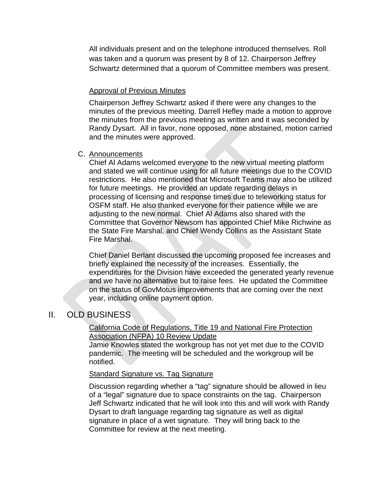All individuals present and on the telephone introduced themselves. Roll was taken and a quorum was present by 8 of 12. Chairperson Jeffrey Schwartz determined that a quorum of Committee members was present.

#### Approval of Previous Minutes

Chairperson Jeffrey Schwartz asked if there were any changes to the minutes of the previous meeting. Darrell Hefley made a motion to approve the minutes from the previous meeting as written and it was seconded by Randy Dysart. All in favor, none opposed, none abstained, motion carried and the minutes were approved.

#### C. Announcements

processing of licensing and response times due to teleworking status for OSFM staff. He also thanked everyone for their patience while we are adjusting to the new normal. Chief Al Adams also shared with the Committee that Governor Newsom has appointed Chief Mike Richwine as the State Fire Marshal, and Chief Wendy Collins as the Assistant State Fire Marshal. Chief Al Adams welcomed everyone to the new virtual meeting platform and stated we will continue using for all future meetings due to the COVID restrictions. He also mentioned that Microsoft Teams may also be utilized for future meetings. He provided an update regarding delays in

Chief Daniel Berlant discussed the upcoming proposed fee increases and briefly explained the necessity of the increases. Essentially, the expenditures for the Division have exceeded the generated yearly revenue and we have no alternative but to raise fees. He updated the Committee on the status of GovMotus improvements that are coming over the next year, including online payment option.

# II. OLD BUSINESS

#### California Code of Regulations, Title 19 and National Fire Protection Association (NFPA) 10 Review Update

Jamie Knowles stated the workgroup has not yet met due to the COVID pandemic. The meeting will be scheduled and the workgroup will be notified.

#### **Standard Signature vs. Tag Signature**

Discussion regarding whether a "tag" signature should be allowed in lieu of a "legal" signature due to space constraints on the tag. Chairperson Jeff Schwartz indicated that he will look into this and will work with Randy Dysart to draft language regarding tag signature as well as digital signature in place of a wet signature. They will bring back to the Committee for review at the next meeting.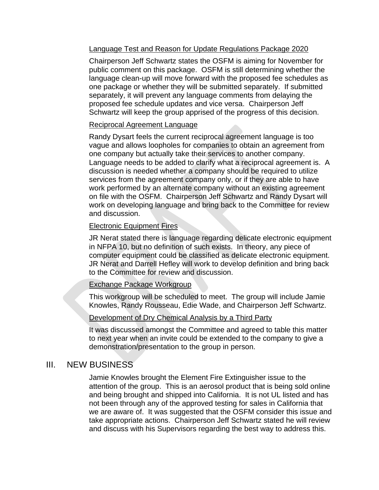# Language Test and Reason for Update Regulations Package 2020

Chairperson Jeff Schwartz states the OSFM is aiming for November for public comment on this package. OSFM is still determining whether the language clean-up will move forward with the proposed fee schedules as one package or whether they will be submitted separately. If submitted separately, it will prevent any language comments from delaying the proposed fee schedule updates and vice versa. Chairperson Jeff Schwartz will keep the group apprised of the progress of this decision.

# Reciprocal Agreement Language

Randy Dysart feels the current reciprocal agreement language is too on file with the OSFM. Chairperson Jeff Schwartz and Randy Dysart will work on developing language and bring back to the Committee for review and discussion. vague and allows loopholes for companies to obtain an agreement from one company but actually take their services to another company. Language needs to be added to clarify what a reciprocal agreement is. A discussion is needed whether a company should be required to utilize services from the agreement company only, or if they are able to have work performed by an alternate company without an existing agreement

# Electronic Equipment Fires

JR Nerat stated there is language regarding delicate electronic equipment in NFPA 10, but no definition of such exists. In theory, any piece of computer equipment could be classified as delicate electronic equipment. JR Nerat and Darrell Hefley will work to develop definition and bring back to the Committee for review and discussion.

# Exchange Package Workgroup

This workgroup will be scheduled to meet. The group will include Jamie Knowles, Randy Rousseau, Edie Wade, and Chairperson Jeff Schwartz.

# Development of Dry Chemical Analysis by a Third Party

to next year when an invite could be extended to the company to give a demonstration/presentation to the group in person. It was discussed amongst the Committee and agreed to table this matter

# III. NEW BUSINESS

Jamie Knowles brought the Element Fire Extinguisher issue to the attention of the group. This is an aerosol product that is being sold online and being brought and shipped into California. It is not UL listed and has not been through any of the approved testing for sales in California that we are aware of. It was suggested that the OSFM consider this issue and take appropriate actions. Chairperson Jeff Schwartz stated he will review and discuss with his Supervisors regarding the best way to address this.